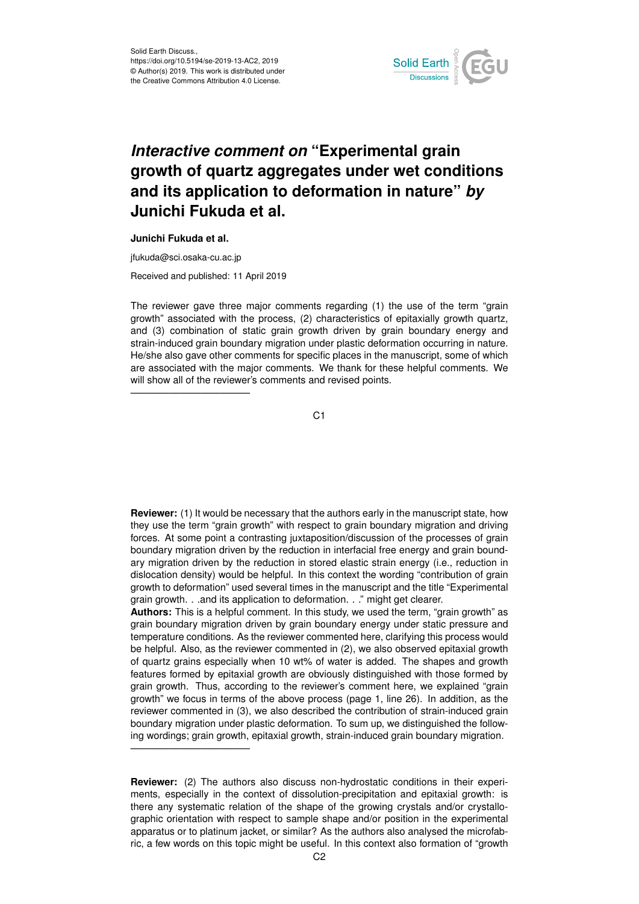

## *Interactive comment on* **"Experimental grain growth of quartz aggregates under wet conditions and its application to deformation in nature"** *by* **Junichi Fukuda et al.**

## **Junichi Fukuda et al.**

jfukuda@sci.osaka-cu.ac.jp

————————————

————————————

Received and published: 11 April 2019

The reviewer gave three major comments regarding (1) the use of the term "grain growth" associated with the process, (2) characteristics of epitaxially growth quartz, and (3) combination of static grain growth driven by grain boundary energy and strain-induced grain boundary migration under plastic deformation occurring in nature. He/she also gave other comments for specific places in the manuscript, some of which are associated with the major comments. We thank for these helpful comments. We will show all of the reviewer's comments and revised points.

C<sub>1</sub>

**Reviewer:** (1) It would be necessary that the authors early in the manuscript state, how they use the term "grain growth" with respect to grain boundary migration and driving forces. At some point a contrasting juxtaposition/discussion of the processes of grain boundary migration driven by the reduction in interfacial free energy and grain boundary migration driven by the reduction in stored elastic strain energy (i.e., reduction in dislocation density) would be helpful. In this context the wording "contribution of grain growth to deformation" used several times in the manuscript and the title "Experimental grain growth. . .and its application to deformation. . ." might get clearer.

**Authors:** This is a helpful comment. In this study, we used the term, "grain growth" as grain boundary migration driven by grain boundary energy under static pressure and temperature conditions. As the reviewer commented here, clarifying this process would be helpful. Also, as the reviewer commented in (2), we also observed epitaxial growth of quartz grains especially when 10 wt% of water is added. The shapes and growth features formed by epitaxial growth are obviously distinguished with those formed by grain growth. Thus, according to the reviewer's comment here, we explained "grain growth" we focus in terms of the above process (page 1, line 26). In addition, as the reviewer commented in (3), we also described the contribution of strain-induced grain boundary migration under plastic deformation. To sum up, we distinguished the following wordings; grain growth, epitaxial growth, strain-induced grain boundary migration.

**Reviewer:** (2) The authors also discuss non-hydrostatic conditions in their experiments, especially in the context of dissolution-precipitation and epitaxial growth: is there any systematic relation of the shape of the growing crystals and/or crystallographic orientation with respect to sample shape and/or position in the experimental apparatus or to platinum jacket, or similar? As the authors also analysed the microfabric, a few words on this topic might be useful. In this context also formation of "growth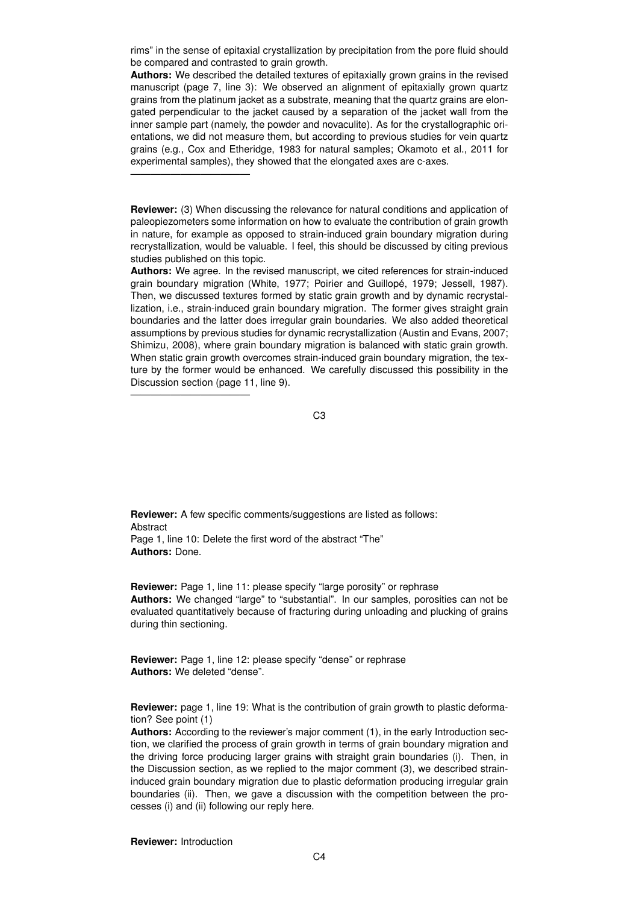rims" in the sense of epitaxial crystallization by precipitation from the pore fluid should be compared and contrasted to grain growth.

**Authors:** We described the detailed textures of epitaxially grown grains in the revised manuscript (page 7, line 3): We observed an alignment of epitaxially grown quartz grains from the platinum jacket as a substrate, meaning that the quartz grains are elongated perpendicular to the jacket caused by a separation of the jacket wall from the inner sample part (namely, the powder and novaculite). As for the crystallographic orientations, we did not measure them, but according to previous studies for vein quartz grains (e.g., Cox and Etheridge, 1983 for natural samples; Okamoto et al., 2011 for experimental samples), they showed that the elongated axes are c-axes.

**Reviewer:** (3) When discussing the relevance for natural conditions and application of paleopiezometers some information on how to evaluate the contribution of grain growth in nature, for example as opposed to strain-induced grain boundary migration during recrystallization, would be valuable. I feel, this should be discussed by citing previous studies published on this topic.

**Authors:** We agree. In the revised manuscript, we cited references for strain-induced grain boundary migration (White, 1977; Poirier and Guillopé, 1979; Jessell, 1987). Then, we discussed textures formed by static grain growth and by dynamic recrystallization, i.e., strain-induced grain boundary migration. The former gives straight grain boundaries and the latter does irregular grain boundaries. We also added theoretical assumptions by previous studies for dynamic recrystallization (Austin and Evans, 2007; Shimizu, 2008), where grain boundary migration is balanced with static grain growth. When static grain growth overcomes strain-induced grain boundary migration, the texture by the former would be enhanced. We carefully discussed this possibility in the Discussion section (page 11, line 9).

C3

**Reviewer:** A few specific comments/suggestions are listed as follows: Abstract Page 1, line 10: Delete the first word of the abstract "The" **Authors:** Done.

**Reviewer:** Page 1, line 11: please specify "large porosity" or rephrase **Authors:** We changed "large" to "substantial". In our samples, porosities can not be evaluated quantitatively because of fracturing during unloading and plucking of grains during thin sectioning.

**Reviewer:** Page 1, line 12: please specify "dense" or rephrase **Authors:** We deleted "dense".

**Reviewer:** page 1, line 19: What is the contribution of grain growth to plastic deformation? See point (1)

**Authors:** According to the reviewer's major comment (1), in the early Introduction section, we clarified the process of grain growth in terms of grain boundary migration and the driving force producing larger grains with straight grain boundaries (i). Then, in the Discussion section, as we replied to the major comment (3), we described straininduced grain boundary migration due to plastic deformation producing irregular grain boundaries (ii). Then, we gave a discussion with the competition between the processes (i) and (ii) following our reply here.

**Reviewer:** Introduction

————————————

————————————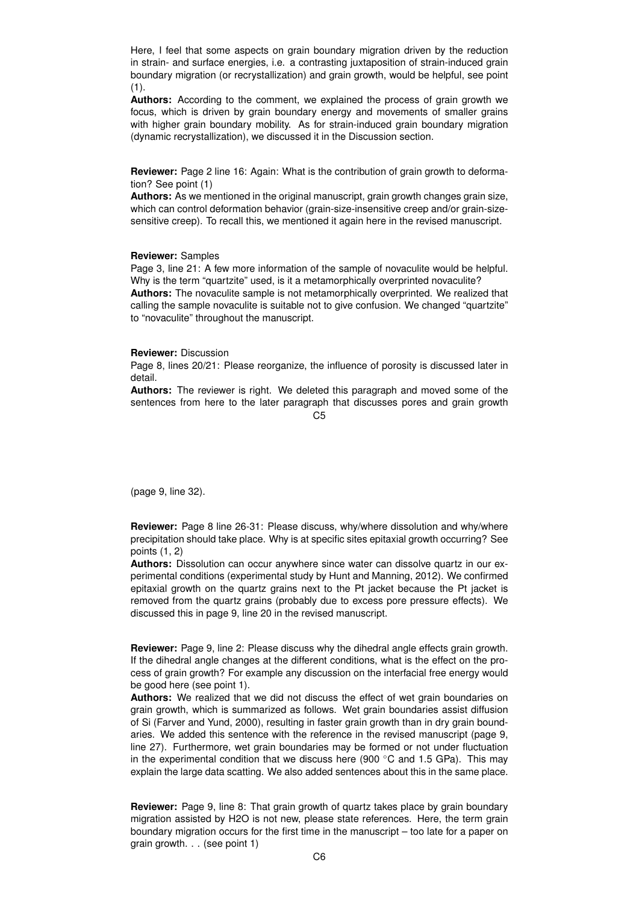Here, I feel that some aspects on grain boundary migration driven by the reduction in strain- and surface energies, i.e. a contrasting juxtaposition of strain-induced grain boundary migration (or recrystallization) and grain growth, would be helpful, see point  $(1)$ .

**Authors:** According to the comment, we explained the process of grain growth we focus, which is driven by grain boundary energy and movements of smaller grains with higher grain boundary mobility. As for strain-induced grain boundary migration (dynamic recrystallization), we discussed it in the Discussion section.

**Reviewer:** Page 2 line 16: Again: What is the contribution of grain growth to deformation? See point (1)

**Authors:** As we mentioned in the original manuscript, grain growth changes grain size, which can control deformation behavior (grain-size-insensitive creep and/or grain-sizesensitive creep). To recall this, we mentioned it again here in the revised manuscript.

## **Reviewer:** Samples

Page 3, line 21: A few more information of the sample of novaculite would be helpful. Why is the term "quartzite" used, is it a metamorphically overprinted novaculite? **Authors:** The novaculite sample is not metamorphically overprinted. We realized that calling the sample novaculite is suitable not to give confusion. We changed "quartzite" to "novaculite" throughout the manuscript.

## **Reviewer:** Discussion

Page 8, lines 20/21: Please reorganize, the influence of porosity is discussed later in detail.

**Authors:** The reviewer is right. We deleted this paragraph and moved some of the sentences from here to the later paragraph that discusses pores and grain growth

 $C<sub>5</sub>$ 

(page 9, line 32).

**Reviewer:** Page 8 line 26-31: Please discuss, why/where dissolution and why/where precipitation should take place. Why is at specific sites epitaxial growth occurring? See points (1, 2)

**Authors:** Dissolution can occur anywhere since water can dissolve quartz in our experimental conditions (experimental study by Hunt and Manning, 2012). We confirmed epitaxial growth on the quartz grains next to the Pt jacket because the Pt jacket is removed from the quartz grains (probably due to excess pore pressure effects). We discussed this in page 9, line 20 in the revised manuscript.

**Reviewer:** Page 9, line 2: Please discuss why the dihedral angle effects grain growth. If the dihedral angle changes at the different conditions, what is the effect on the process of grain growth? For example any discussion on the interfacial free energy would be good here (see point 1).

**Authors:** We realized that we did not discuss the effect of wet grain boundaries on grain growth, which is summarized as follows. Wet grain boundaries assist diffusion of Si (Farver and Yund, 2000), resulting in faster grain growth than in dry grain boundaries. We added this sentence with the reference in the revised manuscript (page 9, line 27). Furthermore, wet grain boundaries may be formed or not under fluctuation in the experimental condition that we discuss here (900  $\degree$ C and 1.5 GPa). This may explain the large data scatting. We also added sentences about this in the same place.

**Reviewer:** Page 9, line 8: That grain growth of quartz takes place by grain boundary migration assisted by H2O is not new, please state references. Here, the term grain boundary migration occurs for the first time in the manuscript – too late for a paper on grain growth. . . (see point 1)